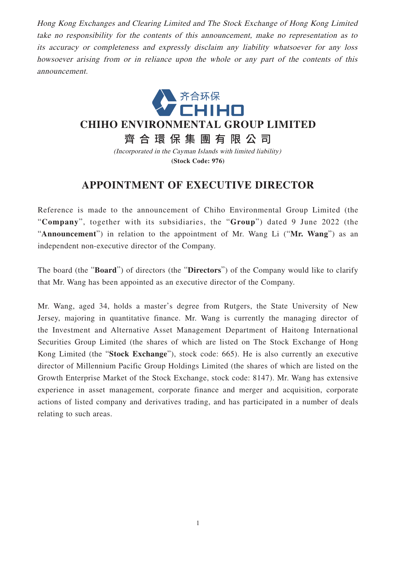Hong Kong Exchanges and Clearing Limited and The Stock Exchange of Hong Kong Limited take no responsibility for the contents of this announcement, make no representation as to its accuracy or completeness and expressly disclaim any liability whatsoever for any loss howsoever arising from or in reliance upon the whole or any part of the contents of this announcement.



**(Stock Code: 976)**

## **APPOINTMENT OF EXECUTIVE DIRECTOR**

Reference is made to the announcement of Chiho Environmental Group Limited (the "**Company**", together with its subsidiaries, the "**Group**") dated 9 June 2022 (the "**Announcement**") in relation to the appointment of Mr. Wang Li ("**Mr. Wang**") as an independent non-executive director of the Company.

The board (the "**Board**") of directors (the "**Directors**") of the Company would like to clarify that Mr. Wang has been appointed as an executive director of the Company.

Mr. Wang, aged 34, holds a master's degree from Rutgers, the State University of New Jersey, majoring in quantitative finance. Mr. Wang is currently the managing director of the Investment and Alternative Asset Management Department of Haitong International Securities Group Limited (the shares of which are listed on The Stock Exchange of Hong Kong Limited (the "**Stock Exchange**"), stock code: 665). He is also currently an executive director of Millennium Pacific Group Holdings Limited (the shares of which are listed on the Growth Enterprise Market of the Stock Exchange, stock code: 8147). Mr. Wang has extensive experience in asset management, corporate finance and merger and acquisition, corporate actions of listed company and derivatives trading, and has participated in a number of deals relating to such areas.